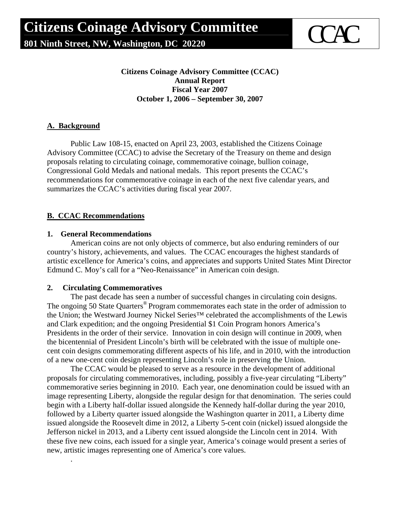

**Citizens Coinage Advisory Committee (CCAC) Annual Report Fiscal Year 2007 October 1, 2006 – September 30, 2007** 

#### **A. Background**

Public Law 108-15, enacted on April 23, 2003, established the Citizens Coinage Advisory Committee (CCAC) to advise the Secretary of the Treasury on theme and design proposals relating to circulating coinage, commemorative coinage, bullion coinage, Congressional Gold Medals and national medals. This report presents the CCAC's recommendations for commemorative coinage in each of the next five calendar years, and summarizes the CCAC's activities during fiscal year 2007.

#### **B. CCAC Recommendations**

#### **1. General Recommendations**

American coins are not only objects of commerce, but also enduring reminders of our country's history, achievements, and values. The CCAC encourages the highest standards of artistic excellence for America's coins, and appreciates and supports United States Mint Director Edmund C. Moy's call for a "Neo-Renaissance" in American coin design.

#### **2. Circulating Commemoratives**

.

The past decade has seen a number of successful changes in circulating coin designs. The ongoing 50 State Quarters<sup>®</sup> Program commemorates each state in the order of admission to the Union; the Westward Journey Nickel Series™ celebrated the accomplishments of the Lewis and Clark expedition; and the ongoing Presidential \$1 Coin Program honors America's Presidents in the order of their service. Innovation in coin design will continue in 2009, when the bicentennial of President Lincoln's birth will be celebrated with the issue of multiple onecent coin designs commemorating different aspects of his life, and in 2010, with the introduction of a new one-cent coin design representing Lincoln's role in preserving the Union.

The CCAC would be pleased to serve as a resource in the development of additional proposals for circulating commemoratives, including, possibly a five-year circulating "Liberty" commemorative series beginning in 2010. Each year, one denomination could be issued with an image representing Liberty, alongside the regular design for that denomination. The series could begin with a Liberty half-dollar issued alongside the Kennedy half-dollar during the year 2010, followed by a Liberty quarter issued alongside the Washington quarter in 2011, a Liberty dime issued alongside the Roosevelt dime in 2012, a Liberty 5-cent coin (nickel) issued alongside the Jefferson nickel in 2013, and a Liberty cent issued alongside the Lincoln cent in 2014. With these five new coins, each issued for a single year, America's coinage would present a series of new, artistic images representing one of America's core values.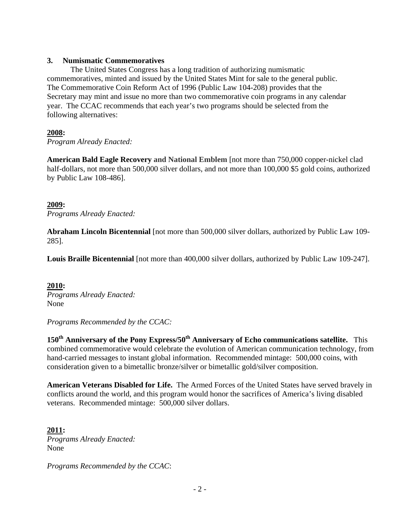#### **3. Numismatic Commemoratives**

The United States Congress has a long tradition of authorizing numismatic commemoratives, minted and issued by the United States Mint for sale to the general public. The Commemorative Coin Reform Act of 1996 (Public Law 104-208) provides that the Secretary may mint and issue no more than two commemorative coin programs in any calendar year. The CCAC recommends that each year's two programs should be selected from the following alternatives:

### **2008:**

*Program Already Enacted:* 

**American Bald Eagle Recovery and National Emblem** [not more than 750,000 copper-nickel clad half-dollars, not more than 500,000 silver dollars, and not more than 100,000 \$5 gold coins, authorized by Public Law 108-486].

#### **2009:**

*Programs Already Enacted:* 

**Abraham Lincoln Bicentennial** [not more than 500,000 silver dollars, authorized by Public Law 109- 285].

**Louis Braille Bicentennial** [not more than 400,000 silver dollars, authorized by Public Law 109-247].

#### **2010:**  *Programs Already Enacted:* None

*Programs Recommended by the CCAC:* 

150<sup>th</sup> Anniversary of the Pony Express/50<sup>th</sup> Anniversary of Echo communications satellite. This combined commemorative would celebrate the evolution of American communication technology, from hand-carried messages to instant global information. Recommended mintage: 500,000 coins, with consideration given to a bimetallic bronze/silver or bimetallic gold/silver composition.

**American Veterans Disabled for Life.** The Armed Forces of the United States have served bravely in conflicts around the world, and this program would honor the sacrifices of America's living disabled veterans. Recommended mintage: 500,000 silver dollars.

**2011:**  *Programs Already Enacted:* None

*Programs Recommended by the CCAC*: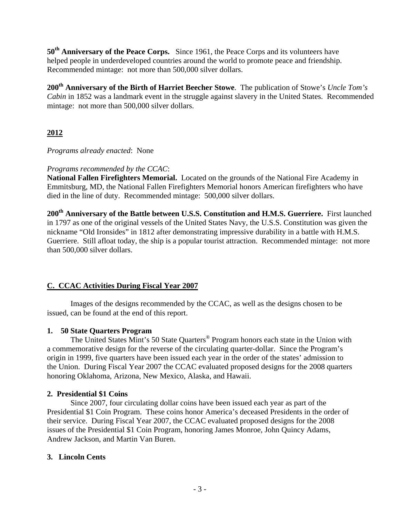**50th Anniversary of the Peace Corps.** Since 1961, the Peace Corps and its volunteers have helped people in underdeveloped countries around the world to promote peace and friendship. Recommended mintage: not more than 500,000 silver dollars.

**200th Anniversary of the Birth of Harriet Beecher Stowe**. The publication of Stowe's *Uncle Tom's Cabin* in 1852 was a landmark event in the struggle against slavery in the United States. Recommended mintage: not more than 500,000 silver dollars.

# **2012**

*Programs already enacted*: None

## *Programs recommended by the CCAC*:

**National Fallen Firefighters Memorial.** Located on the grounds of the National Fire Academy in Emmitsburg, MD, the National Fallen Firefighters Memorial honors American firefighters who have died in the line of duty. Recommended mintage: 500,000 silver dollars.

200<sup>th</sup> Anniversary of the Battle between U.S.S. Constitution and H.M.S. Guerriere. First launched in 1797 as one of the original vessels of the United States Navy, the U.S.S. Constitution was given the nickname "Old Ironsides" in 1812 after demonstrating impressive durability in a battle with H.M.S. Guerriere. Still afloat today, the ship is a popular tourist attraction. Recommended mintage: not more than 500,000 silver dollars.

## **C. CCAC Activities During Fiscal Year 2007**

Images of the designs recommended by the CCAC, as well as the designs chosen to be issued, can be found at the end of this report.

## **1. 50 State Quarters Program**

The United States Mint's 50 State Quarters<sup>®</sup> Program honors each state in the Union with a commemorative design for the reverse of the circulating quarter-dollar. Since the Program's origin in 1999, five quarters have been issued each year in the order of the states' admission to the Union. During Fiscal Year 2007 the CCAC evaluated proposed designs for the 2008 quarters honoring Oklahoma, Arizona, New Mexico, Alaska, and Hawaii.

## **2. Presidential \$1 Coins**

Since 2007, four circulating dollar coins have been issued each year as part of the Presidential \$1 Coin Program. These coins honor America's deceased Presidents in the order of their service. During Fiscal Year 2007, the CCAC evaluated proposed designs for the 2008 issues of the Presidential \$1 Coin Program, honoring James Monroe, John Quincy Adams, Andrew Jackson, and Martin Van Buren.

## **3. Lincoln Cents**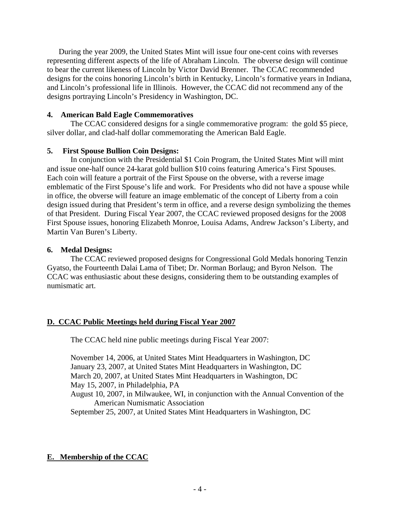During the year 2009, the United States Mint will issue four one-cent coins with reverses representing different aspects of the life of Abraham Lincoln. The obverse design will continue to bear the current likeness of Lincoln by Victor David Brenner. The CCAC recommended designs for the coins honoring Lincoln's birth in Kentucky, Lincoln's formative years in Indiana, and Lincoln's professional life in Illinois. However, the CCAC did not recommend any of the designs portraying Lincoln's Presidency in Washington, DC.

#### **4. American Bald Eagle Commemoratives**

The CCAC considered designs for a single commemorative program: the gold \$5 piece, silver dollar, and clad-half dollar commemorating the American Bald Eagle.

#### **5. First Spouse Bullion Coin Designs:**

 In conjunction with the Presidential \$1 Coin Program, the United States Mint will mint and issue one-half ounce 24-karat gold bullion \$10 coins featuring America's First Spouses. Each coin will feature a portrait of the First Spouse on the obverse, with a reverse image emblematic of the First Spouse's life and work. For Presidents who did not have a spouse while in office, the obverse will feature an image emblematic of the concept of Liberty from a coin design issued during that President's term in office, and a reverse design symbolizing the themes of that President. During Fiscal Year 2007, the CCAC reviewed proposed designs for the 2008 First Spouse issues, honoring Elizabeth Monroe, Louisa Adams, Andrew Jackson's Liberty, and Martin Van Buren's Liberty.

#### **6. Medal Designs:**

The CCAC reviewed proposed designs for Congressional Gold Medals honoring Tenzin Gyatso, the Fourteenth Dalai Lama of Tibet; Dr. Norman Borlaug; and Byron Nelson. The CCAC was enthusiastic about these designs, considering them to be outstanding examples of numismatic art.

### **D. CCAC Public Meetings held during Fiscal Year 2007**

The CCAC held nine public meetings during Fiscal Year 2007:

November 14, 2006, at United States Mint Headquarters in Washington, DC January 23, 2007, at United States Mint Headquarters in Washington, DC March 20, 2007, at United States Mint Headquarters in Washington, DC May 15, 2007, in Philadelphia, PA August 10, 2007, in Milwaukee, WI, in conjunction with the Annual Convention of the American Numismatic Association

September 25, 2007, at United States Mint Headquarters in Washington, DC

### **E. Membership of the CCAC**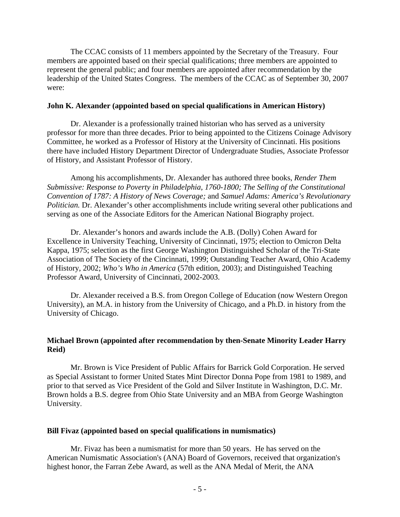The CCAC consists of 11 members appointed by the Secretary of the Treasury. Four members are appointed based on their special qualifications; three members are appointed to represent the general public; and four members are appointed after recommendation by the leadership of the United States Congress. The members of the CCAC as of September 30, 2007 were:

#### **John K. Alexander (appointed based on special qualifications in American History)**

Dr. Alexander is a professionally trained historian who has served as a university professor for more than three decades. Prior to being appointed to the Citizens Coinage Advisory Committee, he worked as a Professor of History at the University of Cincinnati. His positions there have included History Department Director of Undergraduate Studies, Associate Professor of History, and Assistant Professor of History.

Among his accomplishments, Dr. Alexander has authored three books, *Render Them Submissive: Response to Poverty in Philadelphia, 1760-1800; The Selling of the Constitutional Convention of 1787: A History of News Coverage;* and *Samuel Adams: America's Revolutionary Politician.* Dr. Alexander's other accomplishments include writing several other publications and serving as one of the Associate Editors for the American National Biography project.

Dr. Alexander's honors and awards include the A.B. (Dolly) Cohen Award for Excellence in University Teaching, University of Cincinnati, 1975; election to Omicron Delta Kappa, 1975; selection as the first George Washington Distinguished Scholar of the Tri-State Association of The Society of the Cincinnati, 1999; Outstanding Teacher Award, Ohio Academy of History, 2002; *Who's Who in America* (57th edition, 2003); and Distinguished Teaching Professor Award, University of Cincinnati, 2002-2003.

Dr. Alexander received a B.S. from Oregon College of Education (now Western Oregon University), an M.A. in history from the University of Chicago, and a Ph.D. in history from the University of Chicago.

#### **Michael Brown (appointed after recommendation by then-Senate Minority Leader Harry Reid)**

Mr. Brown is Vice President of Public Affairs for Barrick Gold Corporation. He served as Special Assistant to former United States Mint Director Donna Pope from 1981 to 1989, and prior to that served as Vice President of the Gold and Silver Institute in Washington, D.C. Mr. Brown holds a B.S. degree from Ohio State University and an MBA from George Washington University.

#### **Bill Fivaz (appointed based on special qualifications in numismatics)**

Mr. Fivaz has been a numismatist for more than 50 years. He has served on the American Numismatic Association's (ANA) Board of Governors, received that organization's highest honor, the Farran Zebe Award, as well as the ANA Medal of Merit, the ANA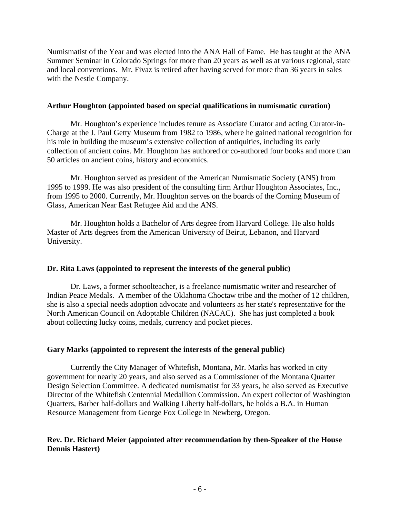Numismatist of the Year and was elected into the ANA Hall of Fame. He has taught at the ANA Summer Seminar in Colorado Springs for more than 20 years as well as at various regional, state and local conventions. Mr. Fivaz is retired after having served for more than 36 years in sales with the Nestle Company.

#### **Arthur Houghton (appointed based on special qualifications in numismatic curation)**

Mr. Houghton's experience includes tenure as Associate Curator and acting Curator-in-Charge at the J. Paul Getty Museum from 1982 to 1986, where he gained national recognition for his role in building the museum's extensive collection of antiquities, including its early collection of ancient coins. Mr. Houghton has authored or co-authored four books and more than 50 articles on ancient coins, history and economics.

Mr. Houghton served as president of the American Numismatic Society (ANS) from 1995 to 1999. He was also president of the consulting firm Arthur Houghton Associates, Inc., from 1995 to 2000. Currently, Mr. Houghton serves on the boards of the Corning Museum of Glass, American Near East Refugee Aid and the ANS.

Mr. Houghton holds a Bachelor of Arts degree from Harvard College. He also holds Master of Arts degrees from the American University of Beirut, Lebanon, and Harvard University.

#### **Dr. Rita Laws (appointed to represent the interests of the general public)**

Dr. Laws, a former schoolteacher, is a freelance numismatic writer and researcher of Indian Peace Medals. A member of the Oklahoma Choctaw tribe and the mother of 12 children, she is also a special needs adoption advocate and volunteers as her state's representative for the North American Council on Adoptable Children (NACAC). She has just completed a book about collecting lucky coins, medals, currency and pocket pieces.

#### **Gary Marks (appointed to represent the interests of the general public)**

Currently the City Manager of Whitefish, Montana, Mr. Marks has worked in city government for nearly 20 years, and also served as a Commissioner of the Montana Quarter Design Selection Committee. A dedicated numismatist for 33 years, he also served as Executive Director of the Whitefish Centennial Medallion Commission. An expert collector of Washington Quarters, Barber half-dollars and Walking Liberty half-dollars, he holds a B.A. in Human Resource Management from George Fox College in Newberg, Oregon.

#### **Rev. Dr. Richard Meier (appointed after recommendation by then-Speaker of the House Dennis Hastert)**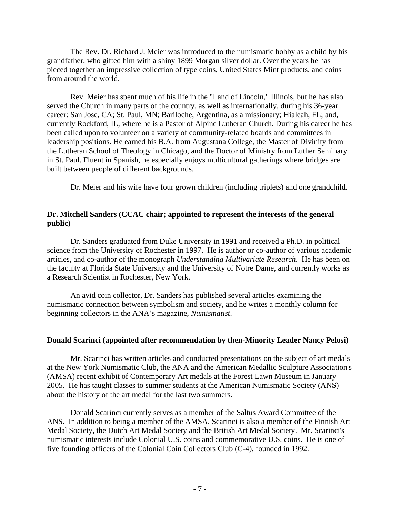The Rev. Dr. Richard J. Meier was introduced to the numismatic hobby as a child by his grandfather, who gifted him with a shiny 1899 Morgan silver dollar. Over the years he has pieced together an impressive collection of type coins, United States Mint products, and coins from around the world.

Rev. Meier has spent much of his life in the "Land of Lincoln," Illinois, but he has also served the Church in many parts of the country, as well as internationally, during his 36-year career: San Jose, CA; St. Paul, MN; Bariloche, Argentina, as a missionary; Hialeah, FL; and, currently Rockford, IL, where he is a Pastor of Alpine Lutheran Church. During his career he has been called upon to volunteer on a variety of community-related boards and committees in leadership positions. He earned his B.A. from Augustana College, the Master of Divinity from the Lutheran School of Theology in Chicago, and the Doctor of Ministry from Luther Seminary in St. Paul. Fluent in Spanish, he especially enjoys multicultural gatherings where bridges are built between people of different backgrounds.

Dr. Meier and his wife have four grown children (including triplets) and one grandchild.

### **Dr. Mitchell Sanders (CCAC chair; appointed to represent the interests of the general public)**

Dr. Sanders graduated from Duke University in 1991 and received a Ph.D. in political science from the University of Rochester in 1997. He is author or co-author of various academic articles, and co-author of the monograph *Understanding Multivariate Research*. He has been on the faculty at Florida State University and the University of Notre Dame, and currently works as a Research Scientist in Rochester, New York.

An avid coin collector, Dr. Sanders has published several articles examining the numismatic connection between symbolism and society, and he writes a monthly column for beginning collectors in the ANA's magazine, *Numismatist*.

### **Donald Scarinci (appointed after recommendation by then-Minority Leader Nancy Pelosi)**

Mr. Scarinci has written articles and conducted presentations on the subject of art medals at the New York Numismatic Club, the ANA and the American Medallic Sculpture Association's (AMSA) recent exhibit of Contemporary Art medals at the Forest Lawn Museum in January 2005. He has taught classes to summer students at the American Numismatic Society (ANS) about the history of the art medal for the last two summers.

Donald Scarinci currently serves as a member of the Saltus Award Committee of the ANS. In addition to being a member of the AMSA, Scarinci is also a member of the Finnish Art Medal Society, the Dutch Art Medal Society and the British Art Medal Society. Mr. Scarinci's numismatic interests include Colonial U.S. coins and commemorative U.S. coins. He is one of five founding officers of the Colonial Coin Collectors Club (C-4), founded in 1992.